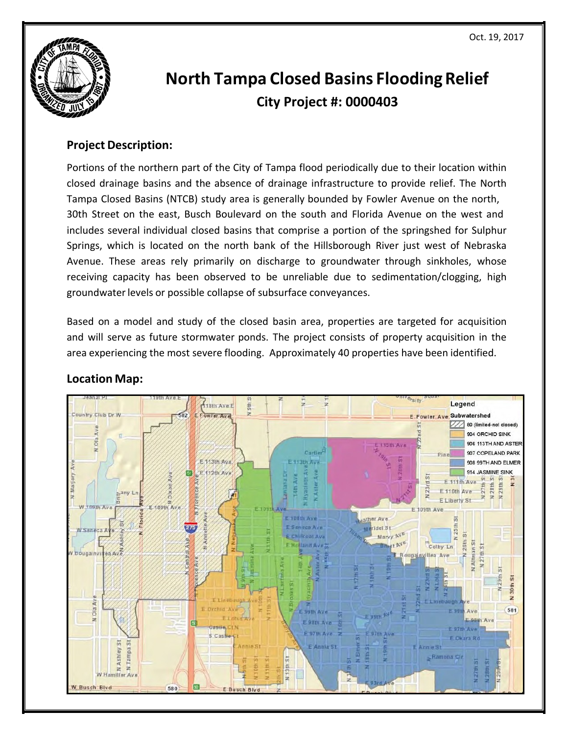

# **North Tampa Closed Basins Flooding Relief City Project #: 0000403**

## **Project Description:**

 Portions of the northern part of the City of Tampa flood periodically due to their location within Springs, which is located on the north bank of the Hillsborough River just west of Nebraska closed drainage basins and the absence of drainage infrastructure to provide relief. The North Tampa Closed Basins (NTCB) study area is generally bounded by Fowler Avenue on the north, 30th Street on the east, Busch Boulevard on the south and Florida Avenue on the west and includes several individual closed basins that comprise a portion of the springshed for Sulphur Avenue. These areas rely primarily on discharge to groundwater through sinkholes, whose receiving capacity has been observed to be unreliable due to sedimentation/clogging, high groundwater levels or possible collapse of subsurface conveyances.

 Based on a model and study of the closed basin area, properties are targeted for acquisition and will serve as future stormwater ponds. The project consists of property acquisition in the area experiencing the most severe flooding. Approximately 40 properties have been identified.



# **Location Map:**